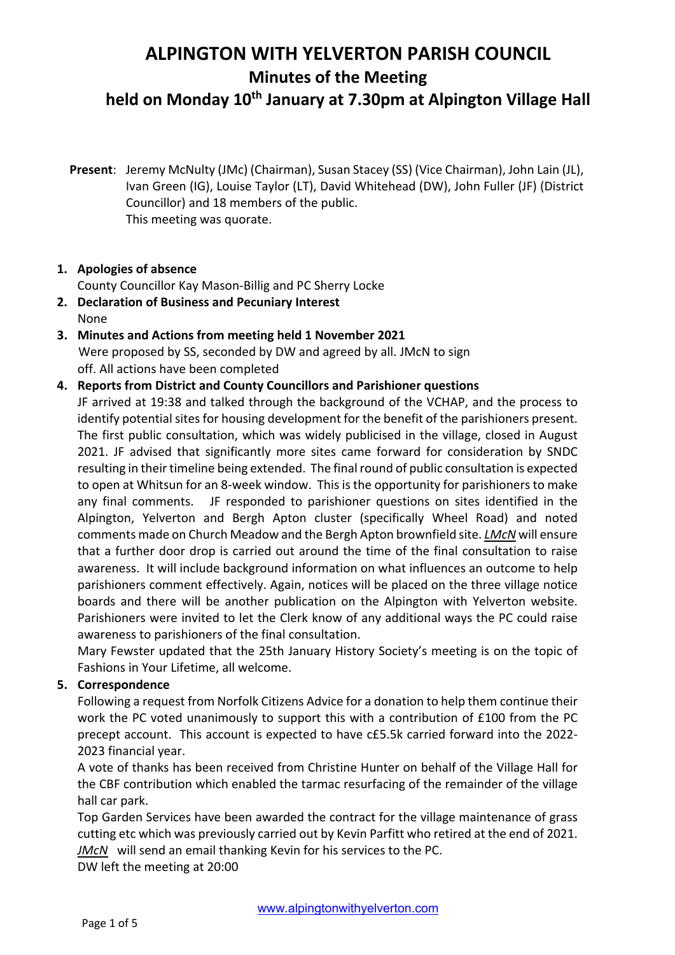# **ALPINGTON WITH YELVERTON PARISH COUNCIL**

**Minutes of the Meeting**

### **held on Monday 10th January at 7.30pm at Alpington Village Hall**

**Present**: Jeremy McNulty (JMc) (Chairman), Susan Stacey (SS) (Vice Chairman), John Lain (JL), Ivan Green (IG), Louise Taylor (LT), David Whitehead (DW), John Fuller (JF) (District Councillor) and 18 members of the public. This meeting was quorate.

#### **1. Apologies of absence**

County Councillor Kay Mason-Billig and PC Sherry Locke

- **2. Declaration of Business and Pecuniary Interest** None
- **3. Minutes and Actions from meeting held 1 November 2021** Were proposed by SS, seconded by DW and agreed by all. JMcN to sign off. All actions have been completed

#### **4. Reports from District and County Councillors and Parishioner questions**

JF arrived at 19:38 and talked through the background of the VCHAP, and the process to identify potential sites for housing development for the benefit of the parishioners present. The first public consultation, which was widely publicised in the village, closed in August 2021. JF advised that significantly more sites came forward for consideration by SNDC resulting in their timeline being extended. The final round of public consultation is expected to open at Whitsun for an 8-week window. This is the opportunity for parishioners to make any final comments. JF responded to parishioner questions on sites identified in the Alpington, Yelverton and Bergh Apton cluster (specifically Wheel Road) and noted comments made on Church Meadow and the Bergh Apton brownfield site. *LMcN* will ensure that a further door drop is carried out around the time of the final consultation to raise awareness. It will include background information on what influences an outcome to help parishioners comment effectively. Again, notices will be placed on the three village notice boards and there will be another publication on the Alpington with Yelverton website. Parishioners were invited to let the Clerk know of any additional ways the PC could raise awareness to parishioners of the final consultation.

Mary Fewster updated that the 25th January History Society's meeting is on the topic of Fashions in Your Lifetime, all welcome.

#### **5. Correspondence**

Following a request from Norfolk Citizens Advice for a donation to help them continue their work the PC voted unanimously to support this with a contribution of £100 from the PC precept account. This account is expected to have c£5.5k carried forward into the 2022- 2023 financial year.

A vote of thanks has been received from Christine Hunter on behalf of the Village Hall for the CBF contribution which enabled the tarmac resurfacing of the remainder of the village hall car park.

Top Garden Services have been awarded the contract for the village maintenance of grass cutting etc which was previously carried out by Kevin Parfitt who retired at the end of 2021. *JMcN* will send an email thanking Kevin for his services to the PC.

DW left the meeting at 20:00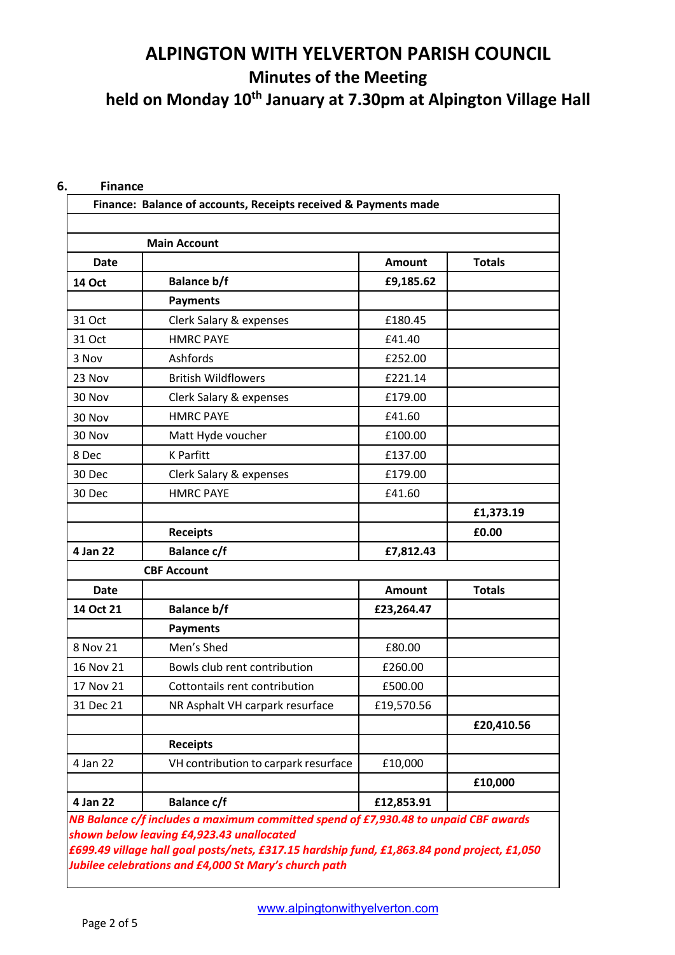## **ALPINGTON WITH YELVERTON PARISH COUNCIL Minutes of the Meeting held on Monday 10th January at 7.30pm at Alpington Village Hall**

|               | <b>Main Account</b>                  |               |               |
|---------------|--------------------------------------|---------------|---------------|
| <b>Date</b>   |                                      | <b>Amount</b> | <b>Totals</b> |
| <b>14 Oct</b> | <b>Balance b/f</b>                   | £9,185.62     |               |
|               | <b>Payments</b>                      |               |               |
| 31 Oct        | Clerk Salary & expenses              | £180.45       |               |
| 31 Oct        | <b>HMRC PAYE</b>                     | £41.40        |               |
| 3 Nov         | Ashfords                             | £252.00       |               |
| 23 Nov        | <b>British Wildflowers</b>           | £221.14       |               |
| 30 Nov        | Clerk Salary & expenses              | £179.00       |               |
| 30 Nov        | <b>HMRC PAYE</b>                     | £41.60        |               |
| 30 Nov        | Matt Hyde voucher                    | £100.00       |               |
| 8 Dec         | <b>K</b> Parfitt                     | £137.00       |               |
| 30 Dec        | Clerk Salary & expenses              | £179.00       |               |
| 30 Dec        | <b>HMRC PAYE</b>                     | £41.60        |               |
|               |                                      |               | £1,373.19     |
|               | <b>Receipts</b>                      |               | £0.00         |
| 4 Jan 22      | <b>Balance c/f</b>                   | £7,812.43     |               |
|               | <b>CBF Account</b>                   |               |               |
| Date          |                                      | <b>Amount</b> | <b>Totals</b> |
| 14 Oct 21     | <b>Balance b/f</b>                   | £23,264.47    |               |
|               | <b>Payments</b>                      |               |               |
| 8 Nov 21      | Men's Shed                           | £80.00        |               |
| 16 Nov 21     | Bowls club rent contribution         | £260.00       |               |
| 17 Nov 21     | Cottontails rent contribution        | £500.00       |               |
| 31 Dec 21     | NR Asphalt VH carpark resurface      | £19,570.56    |               |
|               |                                      |               | £20,410.56    |
|               | <b>Receipts</b>                      |               |               |
| 4 Jan 22      | VH contribution to carpark resurface | £10,000       |               |
|               |                                      |               | £10,000       |
| 4 Jan 22      | <b>Balance c/f</b>                   | £12,853.91    |               |

#### **6. Finance**

www.alpingtonwithyelverton.com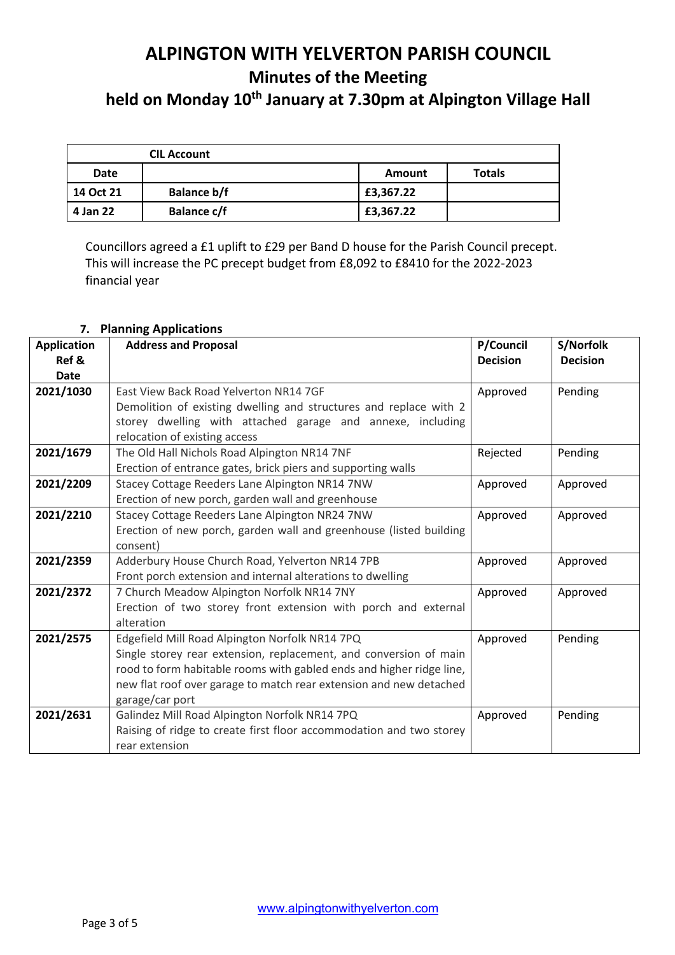## **ALPINGTON WITH YELVERTON PARISH COUNCIL Minutes of the Meeting**

held on Monday 10<sup>th</sup> January at 7.30pm at Alpington Village Hall

|           | <b>CIL Account</b> |               |               |
|-----------|--------------------|---------------|---------------|
| Date      |                    | <b>Amount</b> | <b>Totals</b> |
| 14 Oct 21 | <b>Balance b/f</b> | £3,367.22     |               |
| 4 Jan 22  | <b>Balance c/f</b> | £3,367.22     |               |

Councillors agreed a £1 uplift to £29 per Band D house for the Parish Council precept. This will increase the PC precept budget from £8,092 to £8410 for the 2022-2023 financial year

| <b>Application</b> | טוסטסטושטון מייניונייטרי<br><b>Address and Proposal</b>              | P/Council       | S/Norfolk       |
|--------------------|----------------------------------------------------------------------|-----------------|-----------------|
| Ref &              |                                                                      | <b>Decision</b> | <b>Decision</b> |
| <b>Date</b>        |                                                                      |                 |                 |
| 2021/1030          | East View Back Road Yelverton NR14 7GF                               | Approved        | Pending         |
|                    | Demolition of existing dwelling and structures and replace with 2    |                 |                 |
|                    | storey dwelling with attached garage and annexe, including           |                 |                 |
|                    | relocation of existing access                                        |                 |                 |
| 2021/1679          | The Old Hall Nichols Road Alpington NR14 7NF                         | Rejected        | Pending         |
|                    | Erection of entrance gates, brick piers and supporting walls         |                 |                 |
| 2021/2209          | Stacey Cottage Reeders Lane Alpington NR14 7NW                       | Approved        | Approved        |
|                    | Erection of new porch, garden wall and greenhouse                    |                 |                 |
| 2021/2210          | Stacey Cottage Reeders Lane Alpington NR24 7NW                       | Approved        | Approved        |
|                    | Erection of new porch, garden wall and greenhouse (listed building   |                 |                 |
|                    | consent)                                                             |                 |                 |
| 2021/2359          | Adderbury House Church Road, Yelverton NR14 7PB                      | Approved        | Approved        |
|                    | Front porch extension and internal alterations to dwelling           |                 |                 |
| 2021/2372          | 7 Church Meadow Alpington Norfolk NR14 7NY                           | Approved        | Approved        |
|                    | Erection of two storey front extension with porch and external       |                 |                 |
|                    | alteration                                                           |                 |                 |
| 2021/2575          | Edgefield Mill Road Alpington Norfolk NR14 7PQ                       | Approved        | Pending         |
|                    | Single storey rear extension, replacement, and conversion of main    |                 |                 |
|                    | rood to form habitable rooms with gabled ends and higher ridge line, |                 |                 |
|                    | new flat roof over garage to match rear extension and new detached   |                 |                 |
|                    | garage/car port                                                      |                 |                 |
| 2021/2631          | Galindez Mill Road Alpington Norfolk NR14 7PQ                        | Approved        | Pending         |
|                    | Raising of ridge to create first floor accommodation and two storey  |                 |                 |
|                    | rear extension                                                       |                 |                 |

#### **7. Planning Applications**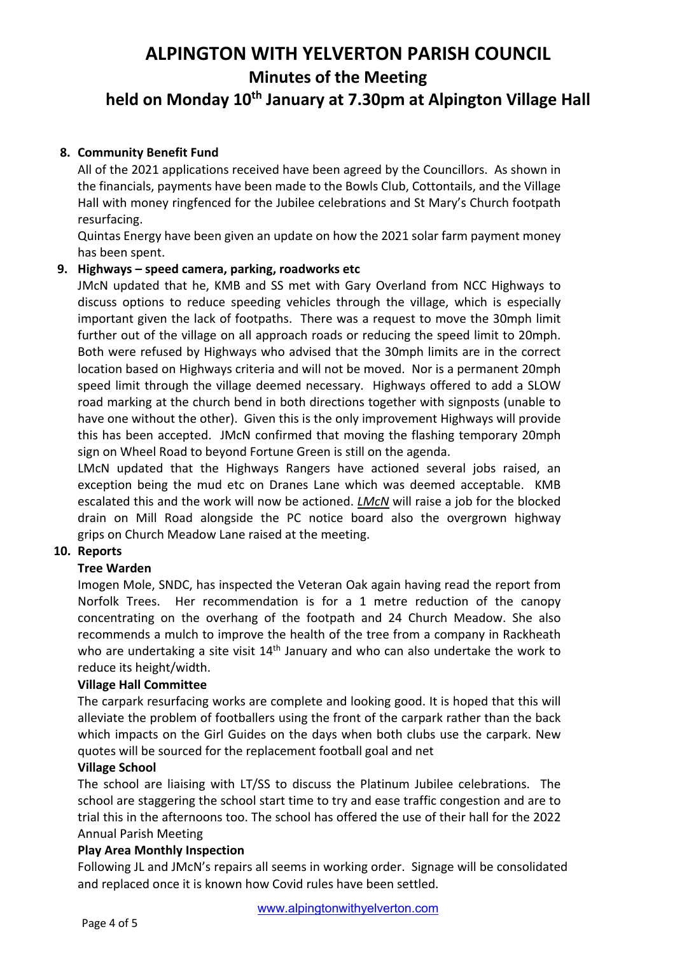## **ALPINGTON WITH YELVERTON PARISH COUNCIL Minutes of the Meeting**

## **held on Monday 10th January at 7.30pm at Alpington Village Hall**

#### **8. Community Benefit Fund**

All of the 2021 applications received have been agreed by the Councillors. As shown in the financials, payments have been made to the Bowls Club, Cottontails, and the Village Hall with money ringfenced for the Jubilee celebrations and St Mary's Church footpath resurfacing.

Quintas Energy have been given an update on how the 2021 solar farm payment money has been spent.

#### **9. Highways – speed camera, parking, roadworks etc**

JMcN updated that he, KMB and SS met with Gary Overland from NCC Highways to discuss options to reduce speeding vehicles through the village, which is especially important given the lack of footpaths. There was a request to move the 30mph limit further out of the village on all approach roads or reducing the speed limit to 20mph. Both were refused by Highways who advised that the 30mph limits are in the correct location based on Highways criteria and will not be moved. Nor is a permanent 20mph speed limit through the village deemed necessary. Highways offered to add a SLOW road marking at the church bend in both directions together with signposts (unable to have one without the other). Given this is the only improvement Highways will provide this has been accepted. JMcN confirmed that moving the flashing temporary 20mph sign on Wheel Road to beyond Fortune Green is still on the agenda.

LMcN updated that the Highways Rangers have actioned several jobs raised, an exception being the mud etc on Dranes Lane which was deemed acceptable. KMB escalated this and the work will now be actioned. *LMcN* will raise a job for the blocked drain on Mill Road alongside the PC notice board also the overgrown highway grips on Church Meadow Lane raised at the meeting.

#### **10. Reports**

#### **Tree Warden**

Imogen Mole, SNDC, has inspected the Veteran Oak again having read the report from Norfolk Trees. Her recommendation is for a 1 metre reduction of the canopy concentrating on the overhang of the footpath and 24 Church Meadow. She also recommends a mulch to improve the health of the tree from a company in Rackheath who are undertaking a site visit  $14<sup>th</sup>$  January and who can also undertake the work to reduce its height/width.

#### **Village Hall Committee**

The carpark resurfacing works are complete and looking good. It is hoped that this will alleviate the problem of footballers using the front of the carpark rather than the back which impacts on the Girl Guides on the days when both clubs use the carpark. New quotes will be sourced for the replacement football goal and net

#### **Village School**

The school are liaising with LT/SS to discuss the Platinum Jubilee celebrations. The school are staggering the school start time to try and ease traffic congestion and are to trial this in the afternoons too. The school has offered the use of their hall for the 2022 Annual Parish Meeting

#### **Play Area Monthly Inspection**

Following JL and JMcN's repairs all seems in working order. Signage will be consolidated and replaced once it is known how Covid rules have been settled.